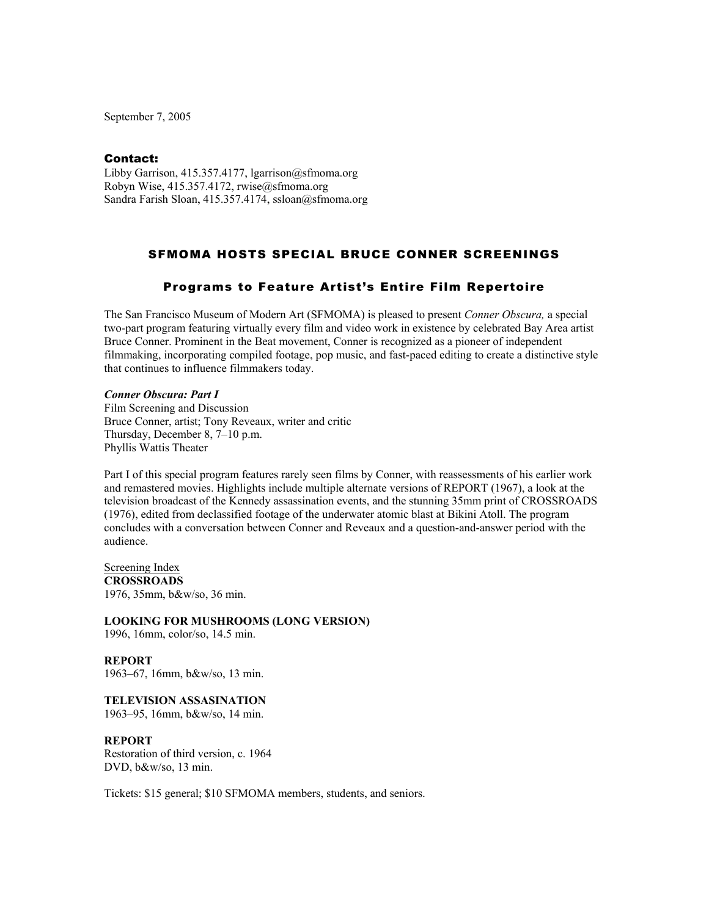September 7, 2005

#### Contact:

Libby Garrison, 415.357.4177, lgarrison@sfmoma.org Robyn Wise, 415.357.4172, rwise@sfmoma.org Sandra Farish Sloan, 415.357.4174, ssloan@sfmoma.org

# SFMOMA HOSTS SPECIAL BRUCE CONNER SCREENINGS

## Programs to Feature Artist's Entire Film Repertoire

The San Francisco Museum of Modern Art (SFMOMA) is pleased to present *Conner Obscura,* a special two-part program featuring virtually every film and video work in existence by celebrated Bay Area artist Bruce Conner. Prominent in the Beat movement, Conner is recognized as a pioneer of independent filmmaking, incorporating compiled footage, pop music, and fast-paced editing to create a distinctive style that continues to influence filmmakers today.

#### *Conner Obscura: Part I*

Film Screening and Discussion Bruce Conner, artist; Tony Reveaux, writer and critic Thursday, December 8, 7–10 p.m. Phyllis Wattis Theater

Part I of this special program features rarely seen films by Conner, with reassessments of his earlier work and remastered movies. Highlights include multiple alternate versions of REPORT (1967), a look at the television broadcast of the Kennedy assassination events, and the stunning 35mm print of CROSSROADS (1976), edited from declassified footage of the underwater atomic blast at Bikini Atoll. The program concludes with a conversation between Conner and Reveaux and a question-and-answer period with the audience.

Screening Index **CROSSROADS**  1976, 35mm, b&w/so, 36 min.

**LOOKING FOR MUSHROOMS (LONG VERSION)** 

1996, 16mm, color/so, 14.5 min.

**REPORT**  1963–67, 16mm, b&w/so, 13 min.

**TELEVISION ASSASINATION** 1963–95, 16mm, b&w/so, 14 min.

## **REPORT**

Restoration of third version, c. 1964 DVD, b&w/so, 13 min.

Tickets: \$15 general; \$10 SFMOMA members, students, and seniors.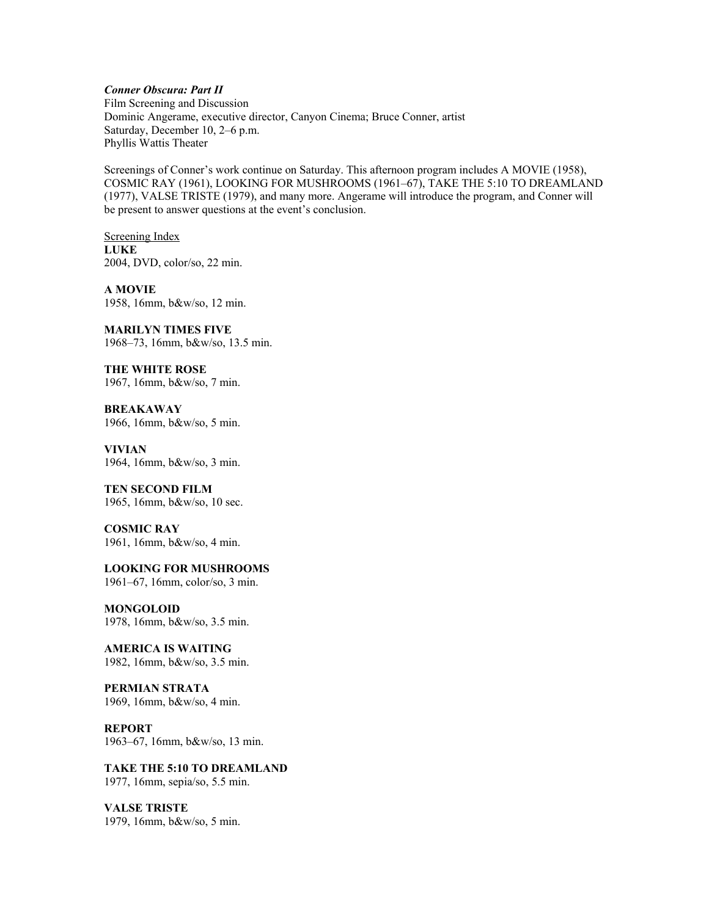## *Conner Obscura: Part II*

Film Screening and Discussion Dominic Angerame, executive director, Canyon Cinema; Bruce Conner, artist Saturday, December 10, 2–6 p.m. Phyllis Wattis Theater

Screenings of Conner's work continue on Saturday. This afternoon program includes A MOVIE (1958), COSMIC RAY (1961), LOOKING FOR MUSHROOMS (1961–67), TAKE THE 5:10 TO DREAMLAND (1977), VALSE TRISTE (1979), and many more. Angerame will introduce the program, and Conner will be present to answer questions at the event's conclusion.

Screening Index **LUKE**  2004, DVD, color/so, 22 min.

**A MOVIE** 1958, 16mm, b&w/so, 12 min.

**MARILYN TIMES FIVE**  1968–73, 16mm, b&w/so, 13.5 min.

**THE WHITE ROSE**  1967, 16mm, b&w/so, 7 min.

**BREAKAWAY**  1966, 16mm, b&w/so, 5 min.

**VIVIAN**  1964, 16mm, b&w/so, 3 min.

# **TEN SECOND FILM**

1965, 16mm, b&w/so, 10 sec.

**COSMIC RAY**  1961, 16mm, b&w/so, 4 min.

**LOOKING FOR MUSHROOMS** 

1961–67, 16mm, color/so, 3 min.

**MONGOLOID** 1978, 16mm, b&w/so, 3.5 min.

**AMERICA IS WAITING** 1982, 16mm, b&w/so, 3.5 min.

**PERMIAN STRATA**  1969, 16mm, b&w/so, 4 min.

**REPORT**. 1963–67, 16mm, b&w/so, 13 min.

**TAKE THE 5:10 TO DREAMLAND**  1977, 16mm, sepia/so, 5.5 min.

**VALSE TRISTE**  1979, 16mm, b&w/so, 5 min.